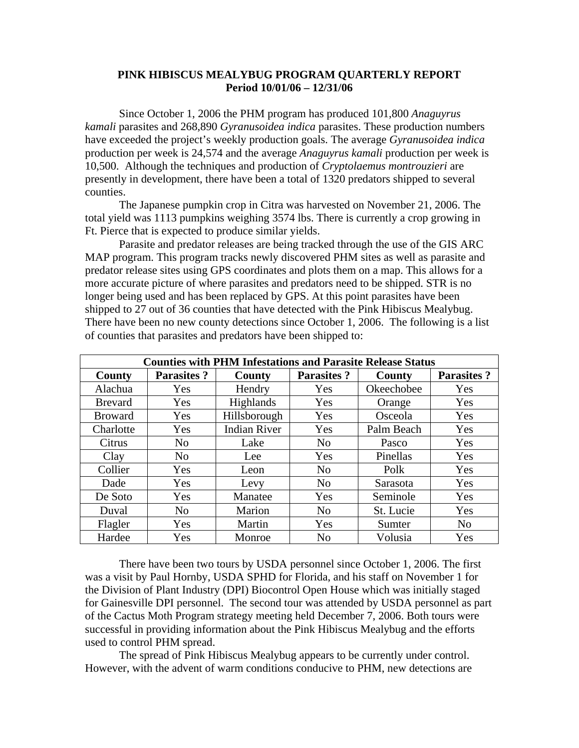## **PINK HIBISCUS MEALYBUG PROGRAM QUARTERLY REPORT Period 10/01/06 – 12/31/06**

Since October 1, 2006 the PHM program has produced 101,800 *Anaguyrus kamali* parasites and 268,890 *Gyranusoidea indica* parasites. These production numbers have exceeded the project's weekly production goals. The average *Gyranusoidea indica*  production per week is 24,574 and the average *Anaguyrus kamali* production per week is 10,500. Although the techniques and production of *Cryptolaemus montrouzieri* are presently in development, there have been a total of 1320 predators shipped to several counties.

 The Japanese pumpkin crop in Citra was harvested on November 21, 2006. The total yield was 1113 pumpkins weighing 3574 lbs. There is currently a crop growing in Ft. Pierce that is expected to produce similar yields.

 Parasite and predator releases are being tracked through the use of the GIS ARC MAP program. This program tracks newly discovered PHM sites as well as parasite and predator release sites using GPS coordinates and plots them on a map. This allows for a more accurate picture of where parasites and predators need to be shipped. STR is no longer being used and has been replaced by GPS. At this point parasites have been shipped to 27 out of 36 counties that have detected with the Pink Hibiscus Mealybug. There have been no new county detections since October 1, 2006. The following is a list of counties that parasites and predators have been shipped to:

| <b>Counties with PHM Infestations and Parasite Release Status</b> |                   |                     |                   |            |                   |
|-------------------------------------------------------------------|-------------------|---------------------|-------------------|------------|-------------------|
| County                                                            | <b>Parasites?</b> | County              | <b>Parasites?</b> | County     | <b>Parasites?</b> |
| Alachua                                                           | Yes               | Hendry              | Yes               | Okeechobee | Yes               |
| <b>Brevard</b>                                                    | Yes               | <b>Highlands</b>    | Yes               | Orange     | Yes               |
| <b>Broward</b>                                                    | Yes               | Hillsborough        | Yes               | Osceola    | Yes               |
| Charlotte                                                         | Yes               | <b>Indian River</b> | Yes               | Palm Beach | Yes               |
| Citrus                                                            | N <sub>0</sub>    | Lake                | N <sub>0</sub>    | Pasco      | Yes               |
| Clay                                                              | N <sub>0</sub>    | Lee                 | Yes               | Pinellas   | Yes               |
| Collier                                                           | Yes               | Leon                | N <sub>0</sub>    | Polk       | Yes               |
| Dade                                                              | Yes               | Levy                | N <sub>0</sub>    | Sarasota   | Yes               |
| De Soto                                                           | Yes               | Manatee             | Yes               | Seminole   | Yes               |
| Duval                                                             | N <sub>o</sub>    | Marion              | N <sub>0</sub>    | St. Lucie  | Yes               |
| Flagler                                                           | Yes               | Martin              | Yes               | Sumter     | N <sub>0</sub>    |
| Hardee                                                            | Yes               | Monroe              | N <sub>0</sub>    | Volusia    | Yes               |

 There have been two tours by USDA personnel since October 1, 2006. The first was a visit by Paul Hornby, USDA SPHD for Florida, and his staff on November 1 for the Division of Plant Industry (DPI) Biocontrol Open House which was initially staged for Gainesville DPI personnel. The second tour was attended by USDA personnel as part of the Cactus Moth Program strategy meeting held December 7, 2006. Both tours were successful in providing information about the Pink Hibiscus Mealybug and the efforts used to control PHM spread.

 The spread of Pink Hibiscus Mealybug appears to be currently under control. However, with the advent of warm conditions conducive to PHM, new detections are